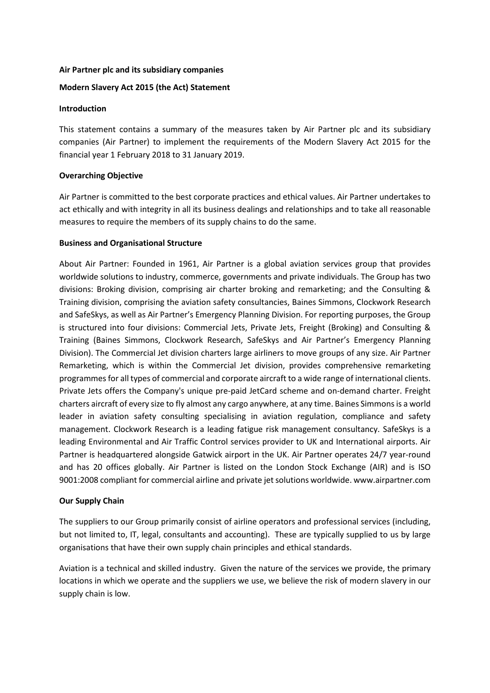### **Air Partner plc and its subsidiary companies**

### **Modern Slavery Act 2015 (the Act) Statement**

#### **Introduction**

This statement contains a summary of the measures taken by Air Partner plc and its subsidiary companies (Air Partner) to implement the requirements of the Modern Slavery Act 2015 for the financial year 1 February 2018 to 31 January 2019.

# **Overarching Objective**

Air Partner is committed to the best corporate practices and ethical values. Air Partner undertakes to act ethically and with integrity in all its business dealings and relationships and to take all reasonable measures to require the members of its supply chains to do the same.

### **Business and Organisational Structure**

About Air Partner: Founded in 1961, Air Partner is a global aviation services group that provides worldwide solutions to industry, commerce, governments and private individuals. The Group has two divisions: Broking division, comprising air charter broking and remarketing; and the Consulting & Training division, comprising the aviation safety consultancies, Baines Simmons, Clockwork Research and SafeSkys, as well as Air Partner's Emergency Planning Division. For reporting purposes, the Group is structured into four divisions: Commercial Jets, Private Jets, Freight (Broking) and Consulting & Training (Baines Simmons, Clockwork Research, SafeSkys and Air Partner's Emergency Planning Division). The Commercial Jet division charters large airliners to move groups of any size. Air Partner Remarketing, which is within the Commercial Jet division, provides comprehensive remarketing programmes for all types of commercial and corporate aircraft to a wide range of international clients. Private Jets offers the Company's unique pre-paid JetCard scheme and on-demand charter. Freight charters aircraft of every size to fly almost any cargo anywhere, at any time. Baines Simmons is a world leader in aviation safety consulting specialising in aviation regulation, compliance and safety management. Clockwork Research is a leading fatigue risk management consultancy. SafeSkys is a leading Environmental and Air Traffic Control services provider to UK and International airports. Air Partner is headquartered alongside Gatwick airport in the UK. Air Partner operates 24/7 year-round and has 20 offices globally. Air Partner is listed on the London Stock Exchange (AIR) and is ISO 9001:2008 compliant for commercial airline and private jet solutions worldwide. www.airpartner.com

# **Our Supply Chain**

The suppliers to our Group primarily consist of airline operators and professional services (including, but not limited to, IT, legal, consultants and accounting). These are typically supplied to us by large organisations that have their own supply chain principles and ethical standards.

Aviation is a technical and skilled industry. Given the nature of the services we provide, the primary locations in which we operate and the suppliers we use, we believe the risk of modern slavery in our supply chain is low.